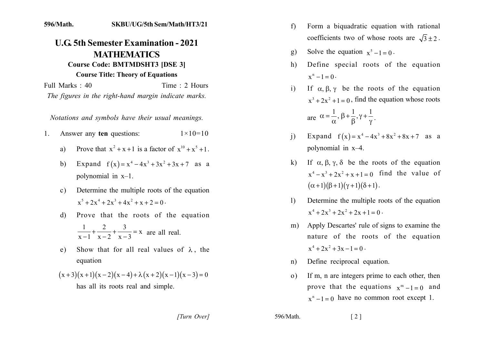## 596/Math. **SKBU/UG/5th Sem/Math/HT3/21**

## **U.G. 5th Semester Examination - 2021 MATHEMATICS Course Code: BMTMDSHT3 [DSE 3]**

## **Course Title: Theory of Equations**

Time: 2 Hours Full Marks: 40 The figures in the right-hand margin indicate marks.

Notations and symbols have their usual meanings.

- Answer any ten questions:  $1 \times 10 = 10$  $1$ 
	- Prove that  $x^2 + x + 1$  is a factor of  $x^{10} + x^5 + 1$ . a)
	- b) Expand  $f(x) = x^4 4x^3 + 3x^2 + 3x + 7$  as a polynomial in  $x-1$ .
	- Determine the multiple roots of the equation  $c)$  $x^5 + 2x^4 + 2x^3 + 4x^2 + x + 2 = 0$ .
	- Prove that the roots of the equation d)  $\frac{1}{x-1} + \frac{2}{x-2} + \frac{3}{x-3} = x$  are all real.
	- Show that for all real values of  $\lambda$ , the  $e)$ equation

$$
(x+3)(x+1)(x-2)(x-4)+\lambda(x+2)(x-1)(x-3)=0
$$
  
has all its roots real and simple.

- Form a biquadratic equation with rational  $f$ coefficients two of whose roots are  $\sqrt{3} \pm 2$ .
- Solve the equation  $x^5 1 = 0$ . g)
- Define special roots of the equation h)  $x^n - 1 = 0$ .
- If  $\alpha, \beta, \gamma$  be the roots of the equation  $\mathbf{i}$  $x^3 + 2x^2 + 1 = 0$ , find the equation whose roots are  $\alpha = \frac{1}{\alpha}, \beta + \frac{1}{\beta}, \gamma + \frac{1}{\gamma}$ .
- Expand  $f(x) = x^4 4x^3 + 8x^2 + 8x + 7$  as a  $\mathbf{i}$ polynomial in  $x-4$ .
- k) If  $\alpha, \beta, \gamma, \delta$  be the roots of the equation  $x^4 - x^3 + 2x^2 + x + 1 = 0$  find the value of  $(\alpha+1)(\beta+1)(\gamma+1)(\delta+1)$ .
- Determine the multiple roots of the equation  $\mathbf{D}$  $x^4 + 2x^3 + 2x^2 + 2x + 1 = 0$ .
- m) Apply Descartes' rule of signs to examine the nature of the roots of the equation  $x^4 + 2x^2 + 3x - 1 = 0$ .
- Define reciprocal equation.  $n$ )
- If m, n are integers prime to each other, then  $(0)$ prove that the equations  $x^m-1=0$  and  $x^n - 1 = 0$  have no common root except 1.

[Turn Over]

596/Math.

 $\lceil 2 \rceil$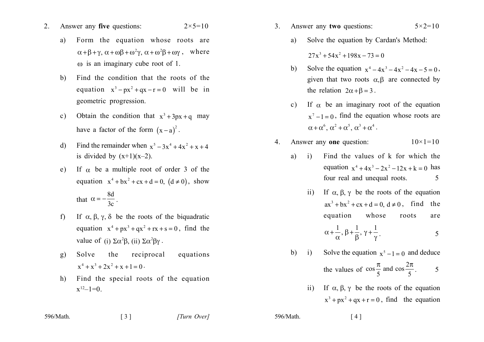- Answer any five questions:  $2 \times 5 = 10$  $2_{-}$ 
	- Form the equation whose roots are a)  $\alpha + \beta + \gamma$ ,  $\alpha + \omega\beta + \omega^2\gamma$ ,  $\alpha + \omega^2\beta + \omega\gamma$ , where  $\omega$  is an imaginary cube root of 1.
	- $b)$ Find the condition that the roots of the equation  $x^3 - px^2 + qx - r = 0$  will be in geometric progression.
	- Obtain the condition that  $x^3 + 3px + q$  may  $c)$ have a factor of the form  $(x-a)^2$ .
	- Find the remainder when  $x^5 3x^4 + 4x^2 + x + 4$  $\mathbf{d}$ is divided by  $(x+1)(x-2)$ .
	- If  $\alpha$  be a multiple root of order 3 of the  $e)$ equation  $x^4 + bx^2 + cx + d = 0$ ,  $(d \neq 0)$ , show that  $\alpha = -\frac{8d}{3c}$ .
	- If  $\alpha, \beta, \gamma, \delta$  be the roots of the biquadratic  $f$ equation  $x^4 + px^3 + qx^2 + rx + s = 0$ , find the value of (i)  $\Sigma \alpha^2 \beta$ , (ii)  $\Sigma \alpha^2 \beta \gamma$ .
	- $g)$ Solve the reciprocal equations  $x^4 + x^3 + 2x^2 + x + 1 = 0$ .
	- Find the special roots of the equation h)  $x^{12}-1=0$ .

 $\begin{bmatrix} 3 \end{bmatrix}$ 

| 596/Math. |
|-----------|
|-----------|

- $3<sub>1</sub>$ Answer any two questions:  $5 \times 2 = 10$ 
	- Solve the equation by Cardan's Method: a)  $27x^3 + 54x^2 + 198x - 73 = 0$
	- Solve the equation  $x^4 4x^3 4x^2 4x 5 = 0$ ,  $b)$ given that two roots  $\alpha, \beta$  are connected by the relation  $2\alpha + \beta = 3$ .
	- If  $\alpha$  be an imaginary root of the equation  $c)$  $x^7 - 1 = 0$ , find the equation whose roots are  $\alpha + \alpha^6$ ,  $\alpha^2 + \alpha^5$ ,  $\alpha^3 + \alpha^4$ .
- Answer any one question:  $4_{\cdot}$  $10 \times 1 = 10$ 
	- Find the values of k for which the  $\ddot{1}$ a) equation  $x^4 + 4x^3 - 2x^2 - 12x + k = 0$  has four real and unequal roots. 5
		- ii) If  $\alpha$ ,  $\beta$ ,  $\gamma$  be the roots of the equation  $ax^3 + bx^2 + cx + d = 0$ ,  $d \ne 0$ , find the equation whose roots are

$$
\alpha + \frac{1}{\alpha}, \beta + \frac{1}{\beta}, \gamma + \frac{1}{\gamma}.
$$

b) i) Solve the equation 
$$
x^5 - 1 = 0
$$
 and deduce  
the values of  $\cos \frac{\pi}{5}$  and  $\cos \frac{2\pi}{5}$ . 5

ii) If  $\alpha$ ,  $\beta$ ,  $\gamma$  be the roots of the equation  $x^3 + px^2 + qx + r = 0$ , find the equation

596/Math.

 $[4]$